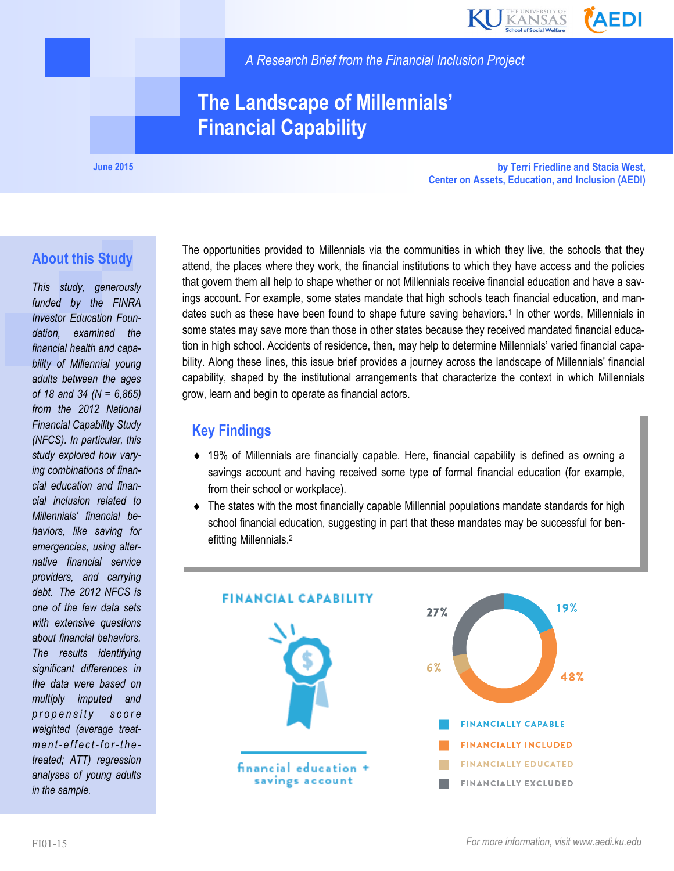

*A Research Brief from the Financial Inclusion Project*

## **The Landscape of Millennials' Financial Capability**

**June 2015**

**by Terri Friedline and Stacia West, Center on Assets, Education, and Inclusion (AEDI)**

#### **About this Study**

*This study, generously funded by the FINRA Investor Education Foundation, examined the financial health and capability of Millennial young adults between the ages of 18 and 34 (N = 6,865) from the 2012 National Financial Capability Study (NFCS). In particular, this study explored how varying combinations of financial education and financial inclusion related to Millennials' financial behaviors, like saving for emergencies, using alternative financial service providers, and carrying debt. The 2012 NFCS is one of the few data sets with extensive questions about financial behaviors. The results identifying significant differences in the data were based on multiply imputed and p r o p e n s i t y s c o r e weighted (average treatm e n t- effect-for-the treated; ATT) regression analyses of young adults in the sample.*

The opportunities provided to Millennials via the communities in which they live, the schools that they attend, the places where they work, the financial institutions to which they have access and the policies that govern them all help to shape whether or not Millennials receive financial education and have a savings account. For example, some states mandate that high schools teach financial education, and mandates such as these have been found to shape future saving behaviors.<sup>1</sup> In other words, Millennials in some states may save more than those in other states because they received mandated financial education in high school. Accidents of residence, then, may help to determine Millennials' varied financial capability. Along these lines, this issue brief provides a journey across the landscape of Millennials' financial capability, shaped by the institutional arrangements that characterize the context in which Millennials grow, learn and begin to operate as financial actors.

#### **Key Findings**

- 19% of Millennials are financially capable. Here, financial capability is defined as owning a savings account and having received some type of formal financial education (for example, from their school or workplace).
- The states with the most financially capable Millennial populations mandate standards for high school financial education, suggesting in part that these mandates may be successful for benefitting Millennials.<sup>2</sup>

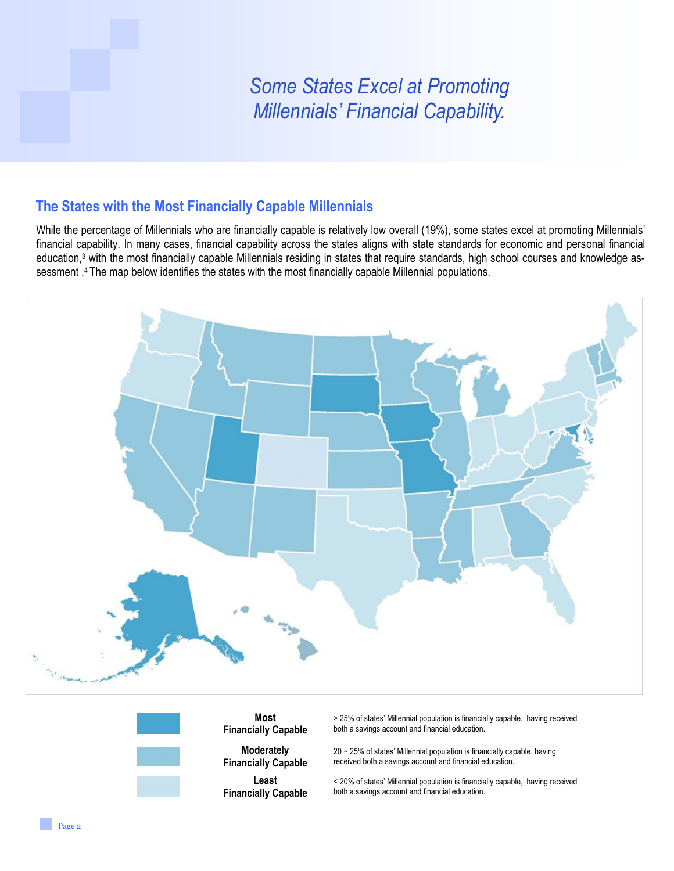# *Some States Excel at Promoting Millennials' Financial Capability.*

#### **The States with the Most Financially Capable Millennials**

While the percentage of Millennials who are financially capable is relatively low overall (19%), some states excel at promoting Millennials' financial capability. In many cases, financial capability across the states aligns with state standards for economic and personal financial education,<sup>3</sup> with the most financially capable Millennials residing in states that require standards, high school courses and knowledge assessment .4 The map below identifies the states with the most financially capable Millennial populations.

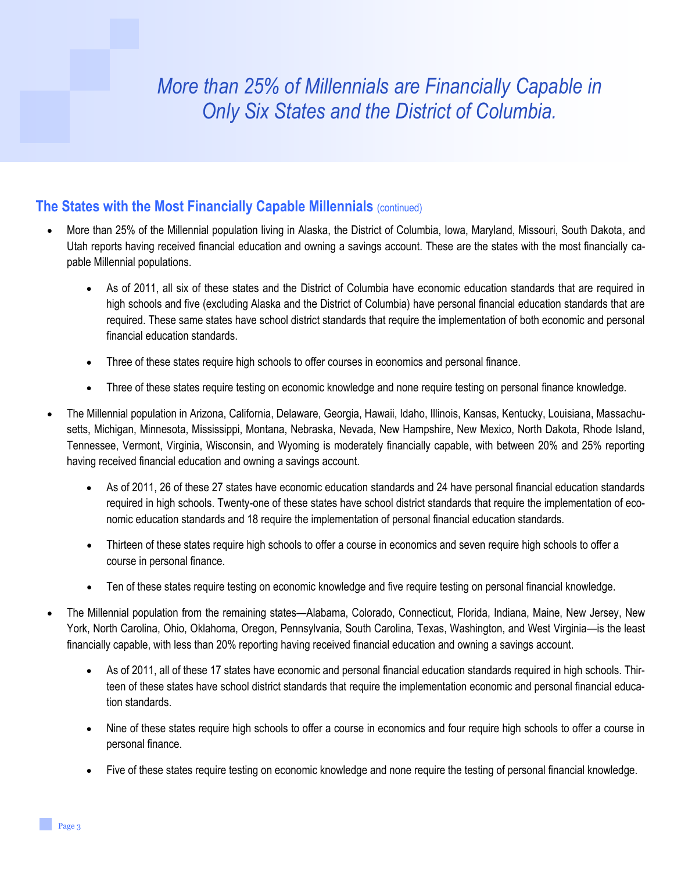# *More than 25% of Millennials are Financially Capable in Only Six States and the District of Columbia.*

#### **The States with the Most Financially Capable Millennials** (continued)

- More than 25% of the Millennial population living in Alaska, the District of Columbia, Iowa, Maryland, Missouri, South Dakota, and Utah reports having received financial education and owning a savings account. These are the states with the most financially capable Millennial populations.
	- As of 2011, all six of these states and the District of Columbia have economic education standards that are required in high schools and five (excluding Alaska and the District of Columbia) have personal financial education standards that are required. These same states have school district standards that require the implementation of both economic and personal financial education standards.
	- Three of these states require high schools to offer courses in economics and personal finance.
	- Three of these states require testing on economic knowledge and none require testing on personal finance knowledge.
- The Millennial population in Arizona, California, Delaware, Georgia, Hawaii, Idaho, Illinois, Kansas, Kentucky, Louisiana, Massachusetts, Michigan, Minnesota, Mississippi, Montana, Nebraska, Nevada, New Hampshire, New Mexico, North Dakota, Rhode Island, Tennessee, Vermont, Virginia, Wisconsin, and Wyoming is moderately financially capable, with between 20% and 25% reporting having received financial education and owning a savings account.
	- As of 2011, 26 of these 27 states have economic education standards and 24 have personal financial education standards required in high schools. Twenty-one of these states have school district standards that require the implementation of economic education standards and 18 require the implementation of personal financial education standards.
	- Thirteen of these states require high schools to offer a course in economics and seven require high schools to offer a course in personal finance.
	- Ten of these states require testing on economic knowledge and five require testing on personal financial knowledge.
- The Millennial population from the remaining states—Alabama, Colorado, Connecticut, Florida, Indiana, Maine, New Jersey, New York, North Carolina, Ohio, Oklahoma, Oregon, Pennsylvania, South Carolina, Texas, Washington, and West Virginia—is the least financially capable, with less than 20% reporting having received financial education and owning a savings account.
	- As of 2011, all of these 17 states have economic and personal financial education standards required in high schools. Thirteen of these states have school district standards that require the implementation economic and personal financial education standards.
	- Nine of these states require high schools to offer a course in economics and four require high schools to offer a course in personal finance.
	- Five of these states require testing on economic knowledge and none require the testing of personal financial knowledge.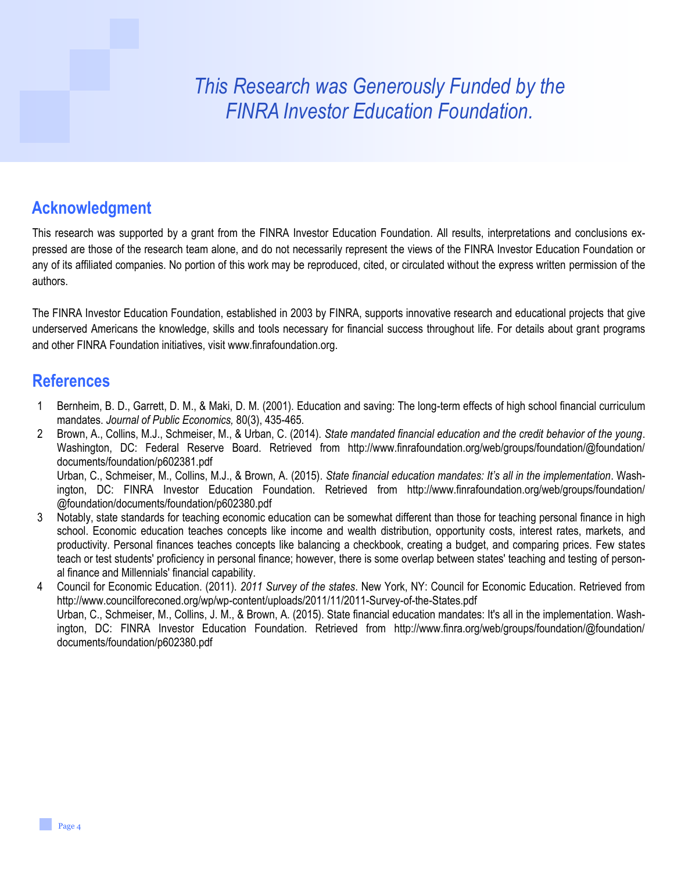# *This Research was Generously Funded by the FINRA Investor Education Foundation.*

## **Acknowledgment**

This research was supported by a grant from the FINRA Investor Education Foundation. All results, interpretations and conclusions expressed are those of the research team alone, and do not necessarily represent the views of the FINRA Investor Education Foundation or any of its affiliated companies. No portion of this work may be reproduced, cited, or circulated without the express written permission of the authors.

The FINRA Investor Education Foundation, established in 2003 by FINRA, supports innovative research and educational projects that give underserved Americans the knowledge, skills and tools necessary for financial success throughout life. For details about grant programs and other FINRA Foundation initiatives, visit www.finrafoundation.org.

### **References**

- 1 Bernheim, B. D., Garrett, D. M., & Maki, D. M. (2001). Education and saving: The long-term effects of high school financial curriculum mandates. *Journal of Public Economics,* 80(3), 435-465.
- 2 Brown, A., Collins, M.J., Schmeiser, M., & Urban, C. (2014). *State mandated financial education and the credit behavior of the young*. Washington, DC: Federal Reserve Board. Retrieved from http://www.finrafoundation.org/web/groups/foundation/@foundation/ documents/foundation/p602381.pdf Urban, C., Schmeiser, M., Collins, M.J., & Brown, A. (2015). *State financial education mandates: It's all in the implementation*. Washington, DC: FINRA Investor Education Foundation. Retrieved from http://www.finrafoundation.org/web/groups/foundation/
- @foundation/documents/foundation/p602380.pdf 3 Notably, state standards for teaching economic education can be somewhat different than those for teaching personal finance in high school. Economic education teaches concepts like income and wealth distribution, opportunity costs, interest rates, markets, and productivity. Personal finances teaches concepts like balancing a checkbook, creating a budget, and comparing prices. Few states teach or test students' proficiency in personal finance; however, there is some overlap between states' teaching and testing of personal finance and Millennials' financial capability.
- 4 Council for Economic Education. (2011). *2011 Survey of the states*. New York, NY: Council for Economic Education. Retrieved from http://www.councilforeconed.org/wp/wp-content/uploads/2011/11/2011-Survey-of-the-States.pdf Urban, C., Schmeiser, M., Collins, J. M., & Brown, A. (2015). State financial education mandates: It's all in the implementation. Washington, DC: FINRA Investor Education Foundation. Retrieved from http://www.finra.org/web/groups/foundation/@foundation/ documents/foundation/p602380.pdf